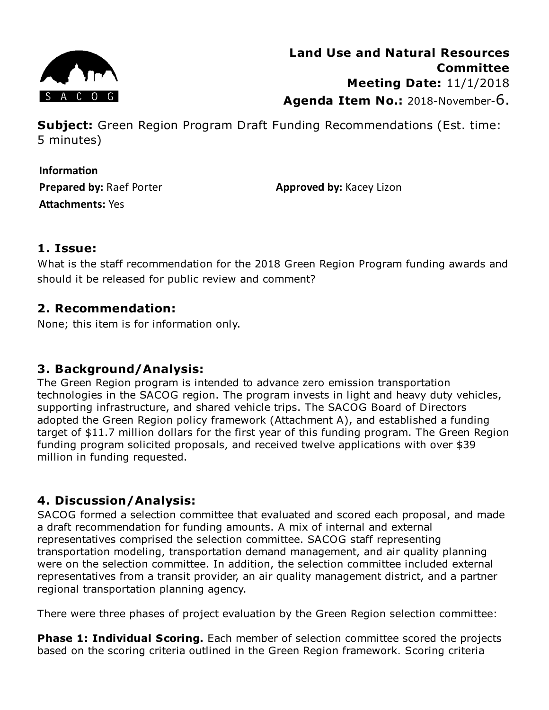

**Subject:** Green Region Program Draft Funding Recommendations (Est. time: 5 minutes)

**Information Prepared by:** Raef Porter **Attachments: Yes** 

**Approved by:** Kacey Lizon

## **1. Issue:**

What is the staff recommendation for the 2018 Green Region Program funding awards and should it be released for public review and comment?

# **2. Recommendation:**

None; this item is for information only.

# **3. Background/Analysis:**

The Green Region program is intended to advance zero emission transportation technologies in the SACOG region. The program invests in light and heavy duty vehicles, supporting infrastructure, and shared vehicle trips. The SACOG Board of Directors adopted the Green Region policy framework (Attachment A), and established a funding target of \$11.7 million dollars for the first year of this funding program. The Green Region funding program solicited proposals, and received twelve applications with over \$39 million in funding requested.

# **4. Discussion/Analysis:**

SACOG formed a selection committee that evaluated and scored each proposal, and made a draft recommendation for funding amounts. A mix of internal and external representatives comprised the selection committee. SACOG staff representing transportation modeling, transportation demand management, and air quality planning were on the selection committee. In addition, the selection committee included external representatives from a transit provider, an air quality management district, and a partner regional transportation planning agency.

There were three phases of project evaluation by the Green Region selection committee:

**Phase 1: Individual Scoring.** Each member of selection committee scored the projects based on the scoring criteria outlined in the Green Region framework. Scoring criteria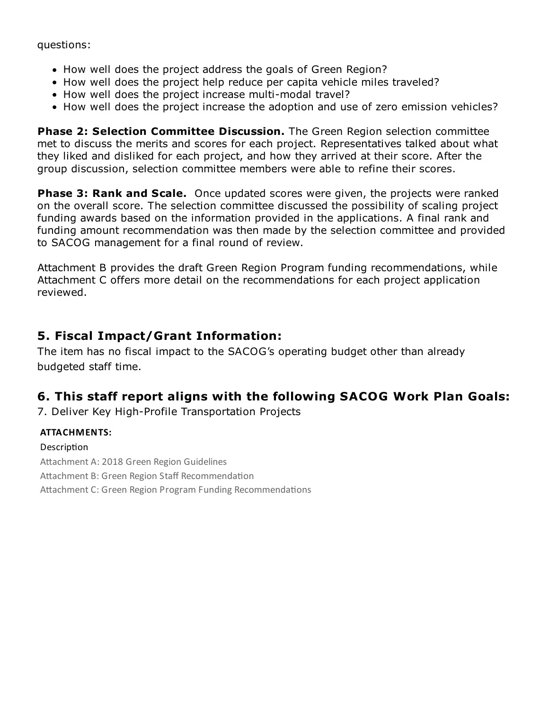questions:

- How well does the project address the goals of Green Region?
- How well does the project help reduce per capita vehicle miles traveled?
- How well does the project increase multi-modal travel?
- How well does the project increase the adoption and use of zero emission vehicles?

**Phase 2: Selection Committee Discussion.** The Green Region selection committee met to discuss the merits and scores for each project. Representatives talked about what they liked and disliked for each project, and how they arrived at their score. After the group discussion, selection committee members were able to refine their scores.

**Phase 3: Rank and Scale.** Once updated scores were given, the projects were ranked on the overall score. The selection committee discussed the possibility of scaling project funding awards based on the information provided in the applications. A final rank and funding amount recommendation was then made by the selection committee and provided to SACOG management for a final round of review.

Attachment B provides the draft Green Region Program funding recommendations, while Attachment C offers more detail on the recommendations for each project application reviewed.

# **5. Fiscal Impact/Grant Information:**

The item has no fiscal impact to the SACOG's operating budget other than already budgeted staff time.

## **6. This staff report aligns with the following SACOG Work Plan Goals:**

7. Deliver Key High-Profile Transportation Projects

#### **ATTACHMENTS:**

#### Description

Attachment A: 2018 Green Region Guidelines Attachment B: Green Region Staff Recommendation Attachment C: Green Region Program Funding Recommendations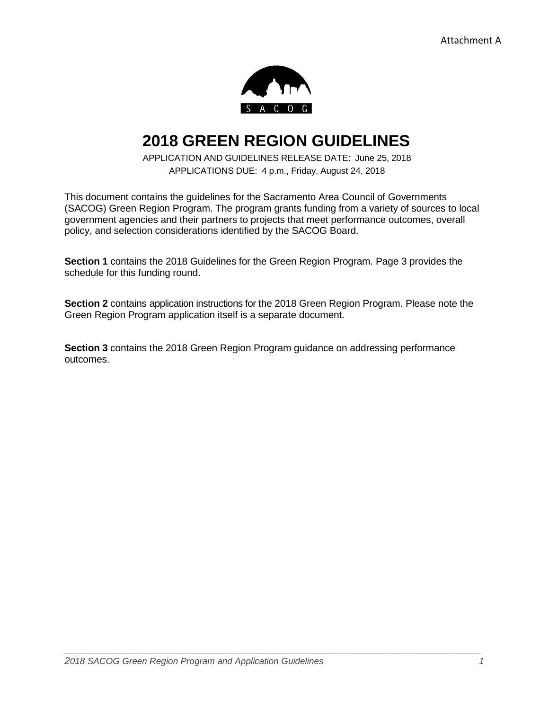

# **2018 GREEN REGION GUIDELINES**

## APPLICATION AND GUIDELINES RELEASE DATE: June 25, 2018 APPLICATIONS DUE: 4 p.m., Friday, August 24, 2018

This document contains the guidelines for the Sacramento Area Council of Governments (SACOG) Green Region Program. The program grants funding from a variety of sources to local government agencies and their partners to projects that meet performance outcomes, overall policy, and selection considerations identified by the SACOG Board.

**Section 1** contains the 2018 Guidelines for the Green Region Program. Page 3 provides the schedule for this funding round.

**Section 2** contains application instructions for the 2018 Green Region Program. Please note the Green Region Program application itself is a separate document.

*\_\_\_\_\_\_\_\_\_\_\_\_\_\_\_\_\_\_\_\_\_\_\_\_\_\_\_\_\_\_\_\_\_\_\_\_\_\_\_\_\_\_\_\_\_\_\_\_\_\_\_\_\_\_\_\_\_\_\_\_\_\_\_\_\_\_\_\_\_\_\_\_\_\_\_\_*

**Section 3** contains the 2018 Green Region Program guidance on addressing performance outcomes.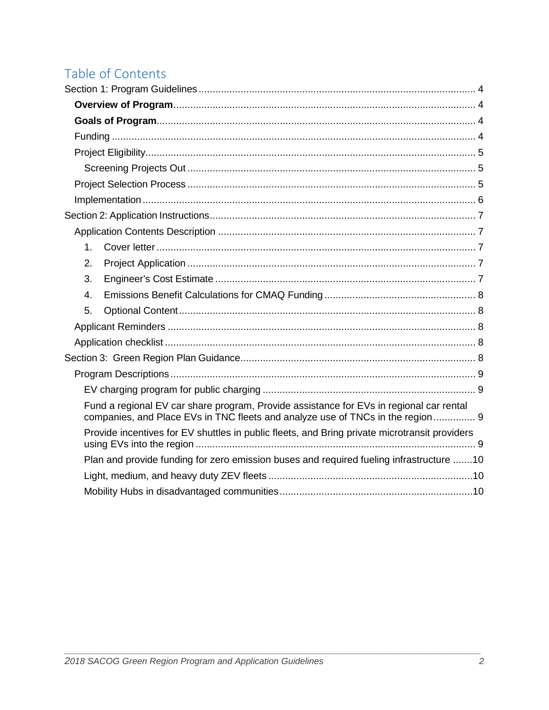# Table of Contents

| 1 <sub>1</sub>                                                                                                                                                            |
|---------------------------------------------------------------------------------------------------------------------------------------------------------------------------|
| 2.                                                                                                                                                                        |
| 3.                                                                                                                                                                        |
| $\overline{4}$ .                                                                                                                                                          |
| 5.                                                                                                                                                                        |
|                                                                                                                                                                           |
|                                                                                                                                                                           |
|                                                                                                                                                                           |
|                                                                                                                                                                           |
|                                                                                                                                                                           |
| Fund a regional EV car share program, Provide assistance for EVs in regional car rental<br>companies, and Place EVs in TNC fleets and analyze use of TNCs in the region 9 |
| Provide incentives for EV shuttles in public fleets, and Bring private microtransit providers                                                                             |
| Plan and provide funding for zero emission buses and required fueling infrastructure 10                                                                                   |
|                                                                                                                                                                           |
|                                                                                                                                                                           |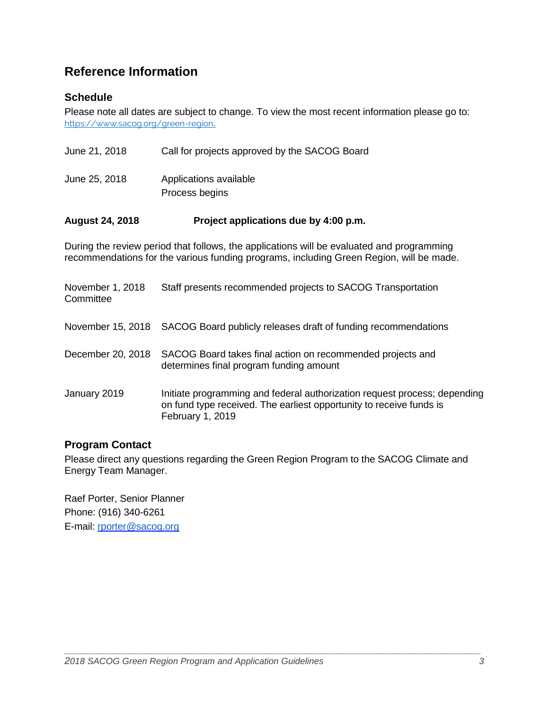# **Reference Information**

## **Schedule**

Please note all dates are subject to change. To view the most recent information please go to: <https://www.sacog.org/green-region>.

| June 21, 2018                 | Call for projects approved by the SACOG Board                                                                                                                                        |
|-------------------------------|--------------------------------------------------------------------------------------------------------------------------------------------------------------------------------------|
| June 25, 2018                 | Applications available<br>Process begins                                                                                                                                             |
| <b>August 24, 2018</b>        | Project applications due by 4:00 p.m.                                                                                                                                                |
|                               | During the review period that follows, the applications will be evaluated and programming<br>recommendations for the various funding programs, including Green Region, will be made. |
| November 1, 2018<br>Committee | Staff presents recommended projects to SACOG Transportation                                                                                                                          |
| November 15, 2018             | SACOG Board publicly releases draft of funding recommendations                                                                                                                       |
| December 20, 2018             | SACOG Board takes final action on recommended projects and<br>determines final program funding amount                                                                                |
| January 2019                  | Initiate programming and federal authorization request process; depending<br>on fund type received. The earliest opportunity to receive funds is                                     |

## **Program Contact**

Please direct any questions regarding the Green Region Program to the SACOG Climate and Energy Team Manager.

Raef Porter, Senior Planner Phone: (916) 340-6261 E-mail: [rporter@sacog.org](mailto:rporter@sacog.org)

February 1, 2019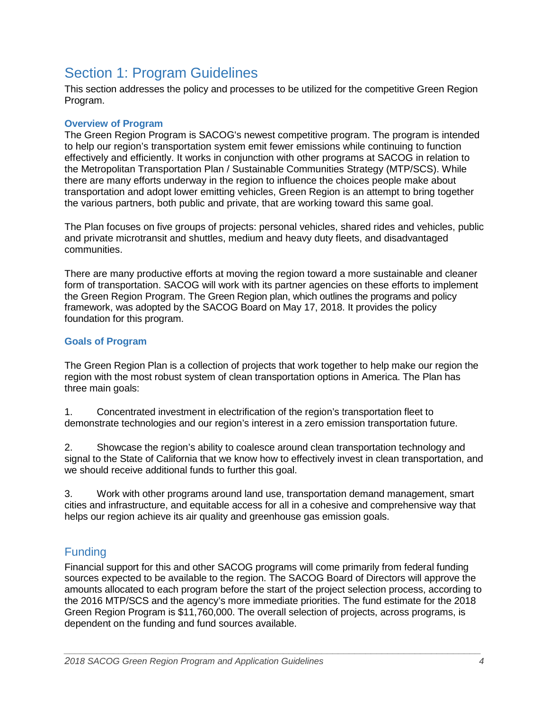# <span id="page-5-0"></span>Section 1: Program Guidelines

This section addresses the policy and processes to be utilized for the competitive Green Region Program.

## <span id="page-5-1"></span>**Overview of Program**

The Green Region Program is SACOG's newest competitive program. The program is intended to help our region's transportation system emit fewer emissions while continuing to function effectively and efficiently. It works in conjunction with other programs at SACOG in relation to the Metropolitan Transportation Plan / Sustainable Communities Strategy (MTP/SCS). While there are many efforts underway in the region to influence the choices people make about transportation and adopt lower emitting vehicles, Green Region is an attempt to bring together the various partners, both public and private, that are working toward this same goal.

The Plan focuses on five groups of projects: personal vehicles, shared rides and vehicles, public and private microtransit and shuttles, medium and heavy duty fleets, and disadvantaged communities.

There are many productive efforts at moving the region toward a more sustainable and cleaner form of transportation. SACOG will work with its partner agencies on these efforts to implement the Green Region Program. The Green Region plan, which outlines the programs and policy framework, was adopted by the SACOG Board on May 17, 2018. It provides the policy foundation for this program.

## <span id="page-5-2"></span>**Goals of Program**

The Green Region Plan is a collection of projects that work together to help make our region the region with the most robust system of clean transportation options in America. The Plan has three main goals:

1. Concentrated investment in electrification of the region's transportation fleet to demonstrate technologies and our region's interest in a zero emission transportation future.

2. Showcase the region's ability to coalesce around clean transportation technology and signal to the State of California that we know how to effectively invest in clean transportation, and we should receive additional funds to further this goal.

3. Work with other programs around land use, transportation demand management, smart cities and infrastructure, and equitable access for all in a cohesive and comprehensive way that helps our region achieve its air quality and greenhouse gas emission goals.

## <span id="page-5-3"></span>**Funding**

Financial support for this and other SACOG programs will come primarily from federal funding sources expected to be available to the region. The SACOG Board of Directors will approve the amounts allocated to each program before the start of the project selection process, according to the 2016 MTP/SCS and the agency's more immediate priorities. The fund estimate for the 2018 Green Region Program is \$11,760,000. The overall selection of projects, across programs, is dependent on the funding and fund sources available.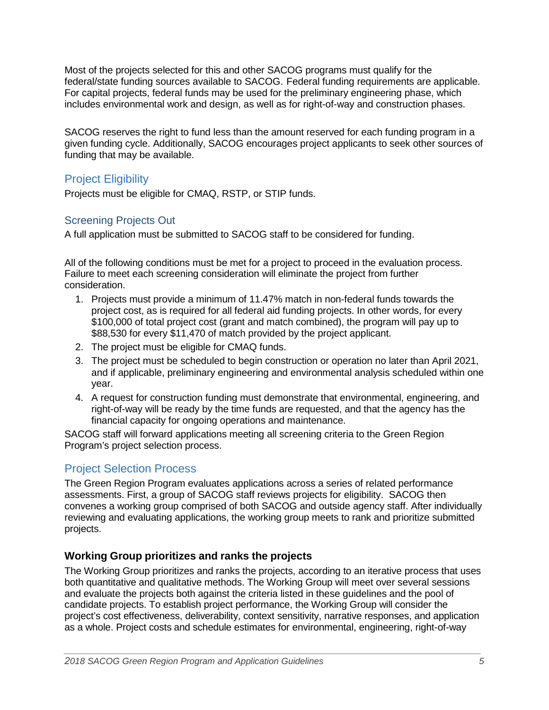Most of the projects selected for this and other SACOG programs must qualify for the federal/state funding sources available to SACOG. Federal funding requirements are applicable. For capital projects, federal funds may be used for the preliminary engineering phase, which includes environmental work and design, as well as for right-of-way and construction phases.

SACOG reserves the right to fund less than the amount reserved for each funding program in a given funding cycle. Additionally, SACOG encourages project applicants to seek other sources of funding that may be available.

# <span id="page-6-0"></span>Project Eligibility

Projects must be eligible for CMAQ, RSTP, or STIP funds.

## <span id="page-6-1"></span>Screening Projects Out

A full application must be submitted to SACOG staff to be considered for funding.

All of the following conditions must be met for a project to proceed in the evaluation process. Failure to meet each screening consideration will eliminate the project from further consideration.

- 1. Projects must provide a minimum of 11.47% match in non-federal funds towards the project cost, as is required for all federal aid funding projects. In other words, for every \$100,000 of total project cost (grant and match combined), the program will pay up to \$88,530 for every \$11,470 of match provided by the project applicant.
- 2. The project must be eligible for CMAQ funds.
- 3. The project must be scheduled to begin construction or operation no later than April 2021, and if applicable, preliminary engineering and environmental analysis scheduled within one year.
- 4. A request for construction funding must demonstrate that environmental, engineering, and right-of-way will be ready by the time funds are requested, and that the agency has the financial capacity for ongoing operations and maintenance.

SACOG staff will forward applications meeting all screening criteria to the Green Region Program's project selection process.

# <span id="page-6-2"></span>Project Selection Process

The Green Region Program evaluates applications across a series of related performance assessments. First, a group of SACOG staff reviews projects for eligibility. SACOG then convenes a working group comprised of both SACOG and outside agency staff. After individually reviewing and evaluating applications, the working group meets to rank and prioritize submitted projects.

## **Working Group prioritizes and ranks the projects**

The Working Group prioritizes and ranks the projects, according to an iterative process that uses both quantitative and qualitative methods. The Working Group will meet over several sessions and evaluate the projects both against the criteria listed in these guidelines and the pool of candidate projects. To establish project performance, the Working Group will consider the project's cost effectiveness, deliverability, context sensitivity, narrative responses, and application as a whole. Project costs and schedule estimates for environmental, engineering, right-of-way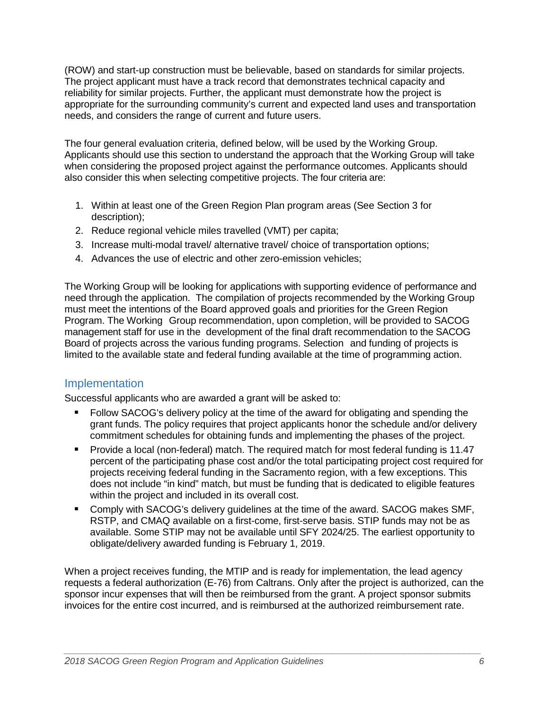(ROW) and start-up construction must be believable, based on standards for similar projects. The project applicant must have a track record that demonstrates technical capacity and reliability for similar projects. Further, the applicant must demonstrate how the project is appropriate for the surrounding community's current and expected land uses and transportation needs, and considers the range of current and future users.

The four general evaluation criteria, defined below, will be used by the Working Group. Applicants should use this section to understand the approach that the Working Group will take when considering the proposed project against the performance outcomes. Applicants should also consider this when selecting competitive projects. The four criteria are:

- 1. Within at least one of the Green Region Plan program areas (See Section 3 for description);
- 2. Reduce regional vehicle miles travelled (VMT) per capita;
- 3. Increase multi-modal travel/ alternative travel/ choice of transportation options;
- 4. Advances the use of electric and other zero-emission vehicles;

The Working Group will be looking for applications with supporting evidence of performance and need through the application. The compilation of projects recommended by the Working Group must meet the intentions of the Board approved goals and priorities for the Green Region Program. The Working Group recommendation, upon completion, will be provided to SACOG management staff for use in the development of the final draft recommendation to the SACOG Board of projects across the various funding programs. Selection and funding of projects is limited to the available state and federal funding available at the time of programming action.

# <span id="page-7-0"></span>**Implementation**

Successful applicants who are awarded a grant will be asked to:

- Follow SACOG's delivery policy at the time of the award for obligating and spending the grant funds. The policy requires that project applicants honor the schedule and/or delivery commitment schedules for obtaining funds and implementing the phases of the project.
- **Provide a local (non-federal) match. The required match for most federal funding is 11.47** percent of the participating phase cost and/or the total participating project cost required for projects receiving federal funding in the Sacramento region, with a few exceptions. This does not include "in kind" match, but must be funding that is dedicated to eligible features within the project and included in its overall cost.
- Comply with SACOG's delivery quidelines at the time of the award. SACOG makes SMF, RSTP, and CMAQ available on a first-come, first-serve basis. STIP funds may not be as available. Some STIP may not be available until SFY 2024/25. The earliest opportunity to obligate/delivery awarded funding is February 1, 2019.

When a project receives funding, the MTIP and is ready for implementation, the lead agency requests a federal authorization (E-76) from Caltrans. Only after the project is authorized, can the sponsor incur expenses that will then be reimbursed from the grant. A project sponsor submits invoices for the entire cost incurred, and is reimbursed at the authorized reimbursement rate.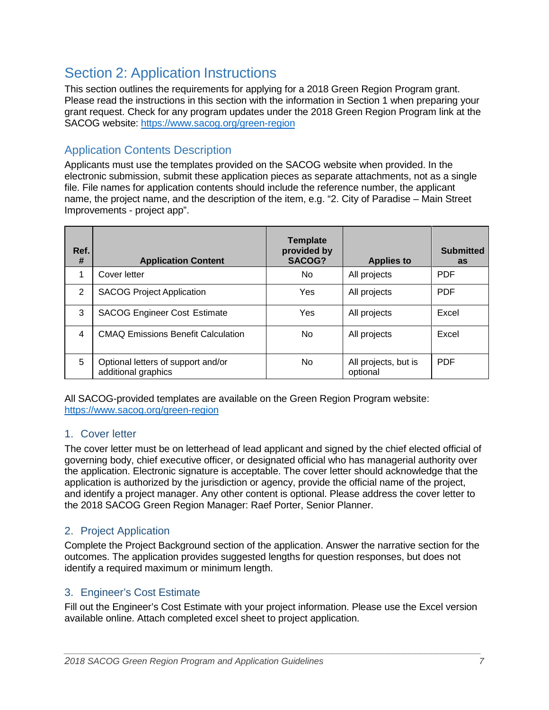# <span id="page-8-0"></span>Section 2: Application Instructions

This section outlines the requirements for applying for a 2018 Green Region Program grant. Please read the instructions in this section with the information in Section 1 when preparing your grant request. Check for any program updates under the 2018 Green Region Program link at the SACOG website: <https://www.sacog.org/green-region>

## <span id="page-8-1"></span>Application Contents Description

Applicants must use the templates provided on the SACOG website when provided. In the electronic submission, submit these application pieces as separate attachments, not as a single file. File names for application contents should include the reference number, the applicant name, the project name, and the description of the item, e.g. "2. City of Paradise – Main Street Improvements - project app".

| Ref.<br># | <b>Application Content</b>                                | <b>Template</b><br>provided by<br><b>SACOG?</b> | <b>Applies to</b>                | <b>Submitted</b><br>as |
|-----------|-----------------------------------------------------------|-------------------------------------------------|----------------------------------|------------------------|
|           | Cover letter                                              | No.                                             | All projects                     | <b>PDF</b>             |
| 2         | <b>SACOG Project Application</b>                          | Yes                                             | All projects                     | <b>PDF</b>             |
| 3         | <b>SACOG Engineer Cost Estimate</b>                       | Yes                                             | All projects                     | Excel                  |
| 4         | <b>CMAQ Emissions Benefit Calculation</b>                 | No                                              | All projects                     | Excel                  |
| 5         | Optional letters of support and/or<br>additional graphics | No                                              | All projects, but is<br>optional | <b>PDF</b>             |

All SACOG-provided templates are available on the Green Region Program website: <https://www.sacog.org/green-region>

## <span id="page-8-2"></span>1. Cover letter

The cover letter must be on letterhead of lead applicant and signed by the chief elected official of governing body, chief executive officer, or designated official who has managerial authority over the application. Electronic signature is acceptable. The cover letter should acknowledge that the application is authorized by the jurisdiction or agency, provide the official name of the project, and identify a project manager. Any other content is optional. Please address the cover letter to the 2018 SACOG Green Region Manager: Raef Porter, Senior Planner.

## <span id="page-8-3"></span>2. Project Application

Complete the Project Background section of the application. Answer the narrative section for the outcomes. The application provides suggested lengths for question responses, but does not identify a required maximum or minimum length.

## <span id="page-8-4"></span>3. Engineer's Cost Estimate

Fill out the Engineer's Cost Estimate with your project information. Please use the [Excel version](http://www.sacog.org/regionalfunding/regionallocal.cfm)  [available online.](http://www.sacog.org/regionalfunding/regionallocal.cfm) Attach completed excel sheet to project application.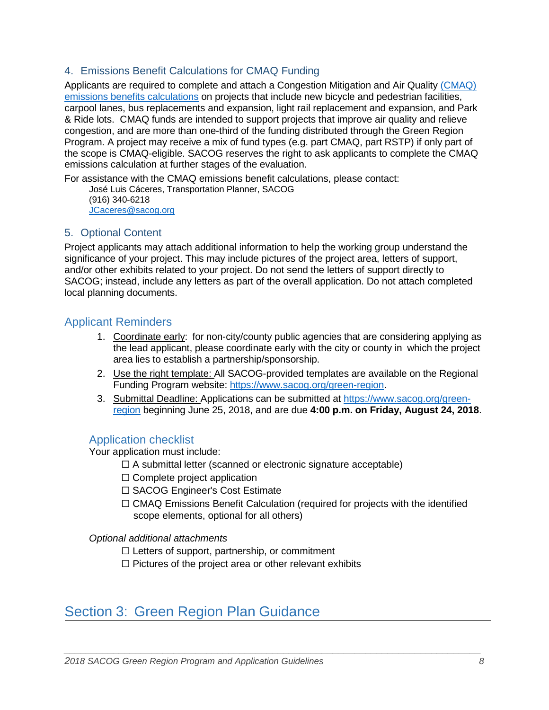## <span id="page-9-0"></span>4. Emissions Benefit Calculations for CMAQ Funding

Applicants are required to complete and attach a Congestion Mitigation and Air Quality [\(CMAQ\)](https://www.arb.ca.gov/planning/tsaq/eval/eval.htm)  [emissions benefits calculations](https://www.arb.ca.gov/planning/tsaq/eval/eval.htm) on projects that include new bicycle and pedestrian facilities. carpool lanes, bus replacements and expansion, light rail replacement and expansion, and Park & Ride lots. CMAQ funds are intended to support projects that improve air quality and relieve congestion, and are more than one-third of the funding distributed through the Green Region Program. A project may receive a mix of fund types (e.g. part CMAQ, part RSTP) if only part of the scope is CMAQ-eligible. SACOG reserves the right to ask applicants to complete the CMAQ emissions calculation at further stages of the evaluation.

For assistance with the CMAQ emissions benefit calculations, please contact:

José Luis Cáceres, Transportation Planner, SACOG (916) 340-6218 [JCaceres@sacog.org](mailto:JCaceres@sacog.org)

## <span id="page-9-1"></span>5. Optional Content

Project applicants may attach additional information to help the working group understand the significance of your project. This may include pictures of the project area, letters of support, and/or other exhibits related to your project. Do not send the letters of support directly to SACOG; instead, include any letters as part of the overall application. Do not attach completed local planning documents.

## <span id="page-9-2"></span>Applicant Reminders

- 1. Coordinate early: for non-city/county public agencies that are considering applying as the lead applicant, please coordinate early with the city or county in which the project area lies to establish a partnership/sponsorship.
- 2. Use the right template: All SACOG-provided templates are available on the Regional Funding Program website: [https://www.sacog.org/green-region.](https://www.sacog.org/green-region)
- 3. Submittal Deadline: Applications can be submitted at [https://www.sacog.org/green](https://www.sacog.org/green-region)[region](https://www.sacog.org/green-region) beginning June 25, 2018, and are due **4:00 p.m. on Friday, August 24, 2018**.

## <span id="page-9-3"></span>Application checklist

Your application must include:

- $\Box$  A submittal letter (scanned or electronic signature acceptable)
- $\Box$  Complete project application
- ☐ SACOG Engineer's Cost Estimate
- ☐ CMAQ Emissions Benefit Calculation (required for projects with the identified scope elements, optional for all others)

*Optional additional attachments*

- $\Box$  Letters of support, partnership, or commitment
- $\Box$  Pictures of the project area or other relevant exhibits

# <span id="page-9-4"></span>Section 3: Green Region Plan Guidance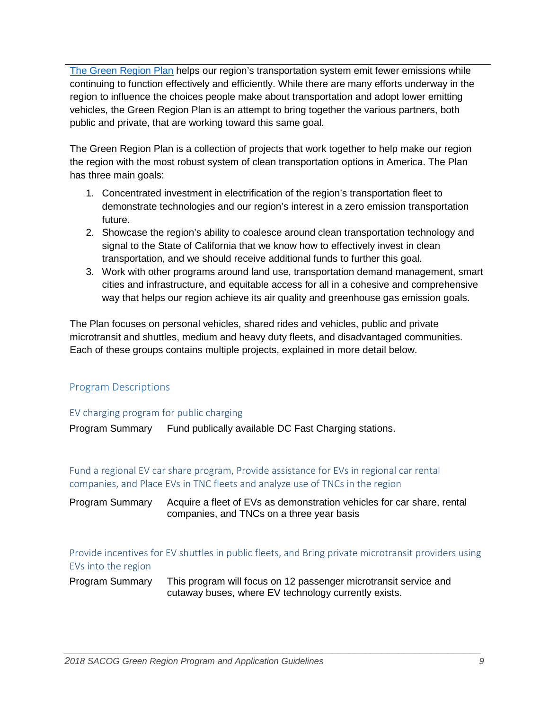[The Green Region Plan](https://www.sacog.org/sites/main/files/file-attachments/green_region_draft_plan.pdf) helps our region's transportation system emit fewer emissions while continuing to function effectively and efficiently. While there are many efforts underway in the region to influence the choices people make about transportation and adopt lower emitting vehicles, the Green Region Plan is an attempt to bring together the various partners, both public and private, that are working toward this same goal.

The Green Region Plan is a collection of projects that work together to help make our region the region with the most robust system of clean transportation options in America. The Plan has three main goals:

- 1. Concentrated investment in electrification of the region's transportation fleet to demonstrate technologies and our region's interest in a zero emission transportation future.
- 2. Showcase the region's ability to coalesce around clean transportation technology and signal to the State of California that we know how to effectively invest in clean transportation, and we should receive additional funds to further this goal.
- 3. Work with other programs around land use, transportation demand management, smart cities and infrastructure, and equitable access for all in a cohesive and comprehensive way that helps our region achieve its air quality and greenhouse gas emission goals.

The Plan focuses on personal vehicles, shared rides and vehicles, public and private microtransit and shuttles, medium and heavy duty fleets, and disadvantaged communities. Each of these groups contains multiple projects, explained in more detail below.

## <span id="page-10-0"></span>Program Descriptions

## <span id="page-10-1"></span>EV charging program for public charging

Program Summary Fund publically available DC Fast Charging stations.

## <span id="page-10-2"></span>Fund a regional EV car share program, Provide assistance for EVs in regional car rental companies, and Place EVs in TNC fleets and analyze use of TNCs in the region

Program Summary Acquire a fleet of EVs as demonstration vehicles for car share, rental companies, and TNCs on a three year basis

<span id="page-10-3"></span>Provide incentives for EV shuttles in public fleets, and Bring private microtransit providers using EVs into the region

Program Summary This program will focus on 12 passenger microtransit service and cutaway buses, where EV technology currently exists.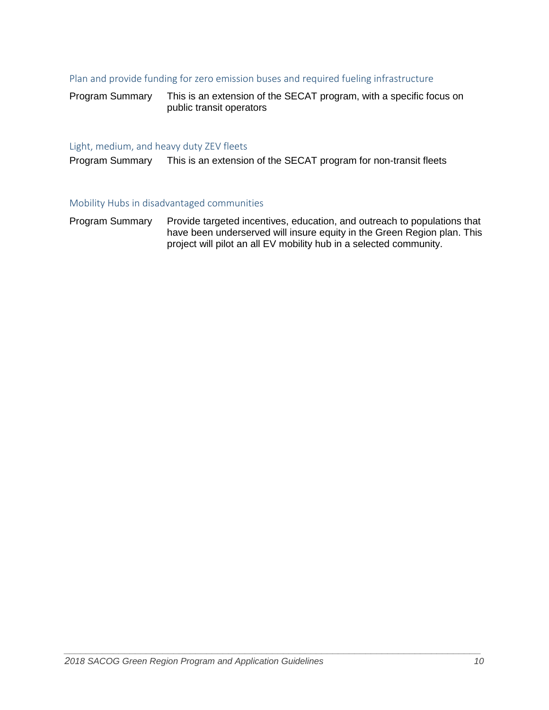#### <span id="page-11-0"></span>Plan and provide funding for zero emission buses and required fueling infrastructure

Program Summary This is an extension of the SECAT program, with a specific focus on public transit operators

#### <span id="page-11-1"></span>Light, medium, and heavy duty ZEV fleets

Program Summary This is an extension of the SECAT program for non-transit fleets

#### <span id="page-11-2"></span>Mobility Hubs in disadvantaged communities

Program Summary Provide targeted incentives, education, and outreach to populations that have been underserved will insure equity in the Green Region plan. This project will pilot an all EV mobility hub in a selected community.

*\_\_\_\_\_\_\_\_\_\_\_\_\_\_\_\_\_\_\_\_\_\_\_\_\_\_\_\_\_\_\_\_\_\_\_\_\_\_\_\_\_\_\_\_\_\_\_\_\_\_\_\_\_\_\_\_\_\_\_\_\_\_\_\_\_\_\_\_\_\_\_\_\_\_\_\_*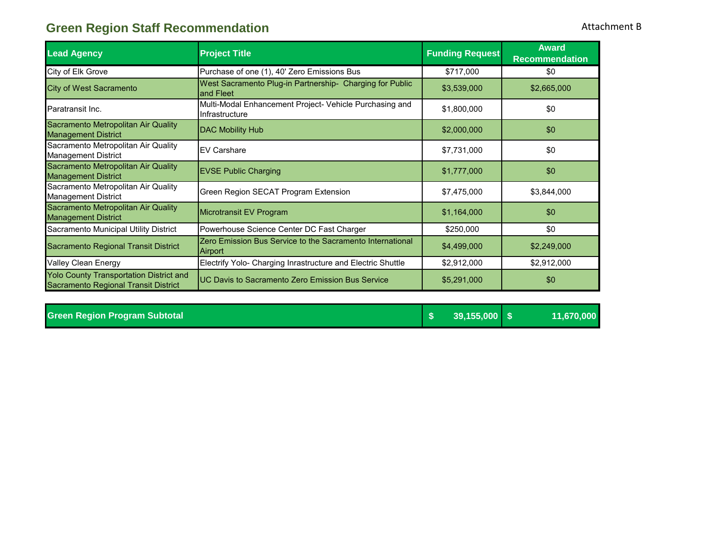# **Green Region Staff Recommendation**

| <b>Lead Agency</b>                                                              | <b>Project Title</b>                                                      | <b>Funding Request</b> | <b>Award</b><br><b>Recommendation</b> |
|---------------------------------------------------------------------------------|---------------------------------------------------------------------------|------------------------|---------------------------------------|
| City of Elk Grove                                                               | Purchase of one (1), 40' Zero Emissions Bus                               | \$717,000              | \$0                                   |
| <b>City of West Sacramento</b>                                                  | West Sacramento Plug-in Partnership- Charging for Public<br>and Fleet     | \$3,539,000            | \$2,665,000                           |
| Paratransit Inc.                                                                | Multi-Modal Enhancement Project- Vehicle Purchasing and<br>Infrastructure | \$1,800,000            | \$0                                   |
| Sacramento Metropolitan Air Quality<br><b>Management District</b>               | <b>DAC Mobility Hub</b>                                                   | \$2,000,000            | \$0                                   |
| Sacramento Metropolitan Air Quality<br><b>Management District</b>               | <b>EV Carshare</b>                                                        | \$7,731,000            | \$0                                   |
| Sacramento Metropolitan Air Quality<br><b>Management District</b>               | <b>EVSE Public Charging</b>                                               | \$1,777,000            | \$0                                   |
| Sacramento Metropolitan Air Quality<br><b>Management District</b>               | Green Region SECAT Program Extension                                      | \$7,475,000            | \$3,844,000                           |
| Sacramento Metropolitan Air Quality<br><b>Management District</b>               | Microtransit EV Program                                                   | \$1,164,000            | \$0                                   |
| Sacramento Municipal Utility District                                           | Powerhouse Science Center DC Fast Charger                                 | \$250,000              | \$0                                   |
| Sacramento Regional Transit District                                            | Zero Emission Bus Service to the Sacramento International<br>Airport      | \$4,499,000            | \$2,249,000                           |
| <b>Valley Clean Energy</b>                                                      | Electrify Yolo- Charging Inrastructure and Electric Shuttle               | \$2,912,000            | \$2,912,000                           |
| Yolo County Transportation District and<br>Sacramento Regional Transit District | UC Davis to Sacramento Zero Emission Bus Service                          | \$5,291,000            | \$0                                   |

| <b>Green Region Program Subtotal</b> |  | $39,155,000$ \$ |  | 11,670,000 |
|--------------------------------------|--|-----------------|--|------------|
|--------------------------------------|--|-----------------|--|------------|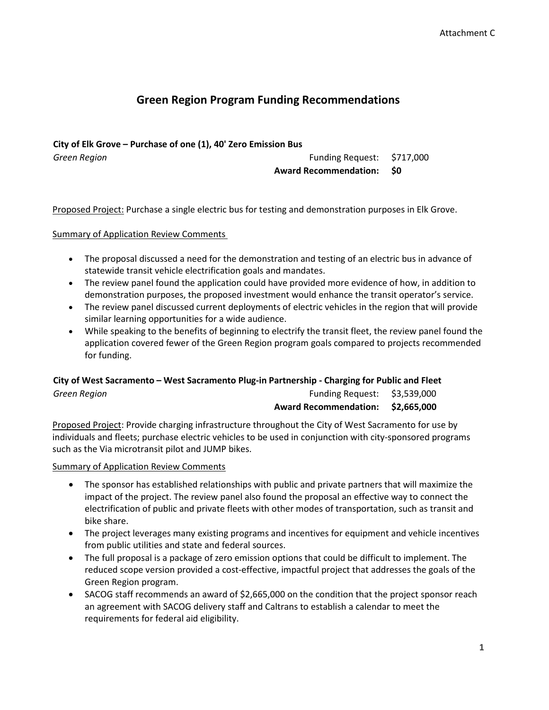## **Green Region Program Funding Recommendations**

## **City of Elk Grove – Purchase of one (1), 40' Zero Emission Bus**

**Green Region Funding Request: \$717,000 Award Recommendation: \$0**

Proposed Project: Purchase a single electric bus for testing and demonstration purposes in Elk Grove.

Summary of Application Review Comments

- The proposal discussed a need for the demonstration and testing of an electric bus in advance of statewide transit vehicle electrification goals and mandates.
- The review panel found the application could have provided more evidence of how, in addition to demonstration purposes, the proposed investment would enhance the transit operator's service.
- The review panel discussed current deployments of electric vehicles in the region that will provide similar learning opportunities for a wide audience.
- While speaking to the benefits of beginning to electrify the transit fleet, the review panel found the application covered fewer of the Green Region program goals compared to projects recommended for funding.

### **City of West Sacramento – West Sacramento Plug-in Partnership - Charging for Public and Fleet** *Green Region* Funding Request: \$3,539,000 **Award Recommendation: \$2,665,000**

Proposed Project: Provide charging infrastructure throughout the City of West Sacramento for use by individuals and fleets; purchase electric vehicles to be used in conjunction with city-sponsored programs such as the Via microtransit pilot and JUMP bikes.

- The sponsor has established relationships with public and private partners that will maximize the impact of the project. The review panel also found the proposal an effective way to connect the electrification of public and private fleets with other modes of transportation, such as transit and bike share.
- The project leverages many existing programs and incentives for equipment and vehicle incentives from public utilities and state and federal sources.
- The full proposal is a package of zero emission options that could be difficult to implement. The reduced scope version provided a cost-effective, impactful project that addresses the goals of the Green Region program.
- SACOG staff recommends an award of \$2,665,000 on the condition that the project sponsor reach an agreement with SACOG delivery staff and Caltrans to establish a calendar to meet the requirements for federal aid eligibility.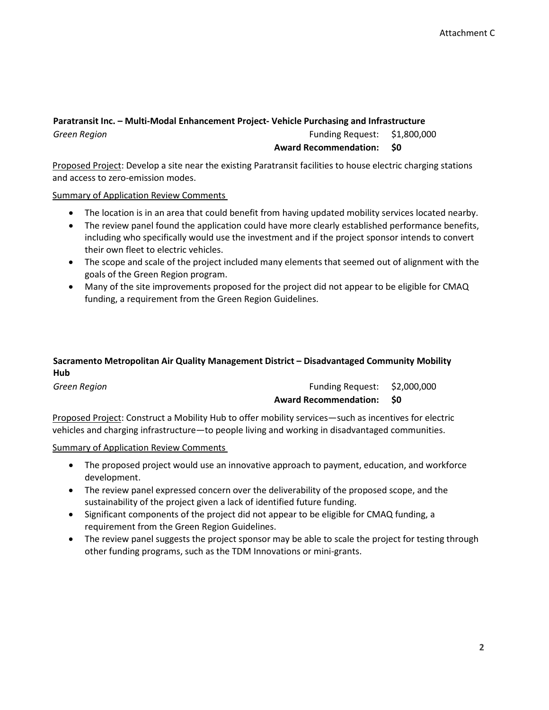## **Paratransit Inc. – Multi-Modal Enhancement Project- Vehicle Purchasing and Infrastructure** *Green Region* Funding Request: \$1,800,000

#### **Award Recommendation: \$0**

Proposed Project: Develop a site near the existing Paratransit facilities to house electric charging stations and access to zero-emission modes.

Summary of Application Review Comments

- The location is in an area that could benefit from having updated mobility services located nearby.
- The review panel found the application could have more clearly established performance benefits, including who specifically would use the investment and if the project sponsor intends to convert their own fleet to electric vehicles.
- The scope and scale of the project included many elements that seemed out of alignment with the goals of the Green Region program.
- Many of the site improvements proposed for the project did not appear to be eligible for CMAQ funding, a requirement from the Green Region Guidelines.

#### **Sacramento Metropolitan Air Quality Management District – Disadvantaged Community Mobility Hub**

| Green Region | Funding Request: \$2,000,000 |  |
|--------------|------------------------------|--|
|              | Award Recommendation: \$0    |  |

Proposed Project: Construct a Mobility Hub to offer mobility services—such as incentives for electric vehicles and charging infrastructure—to people living and working in disadvantaged communities.

- The proposed project would use an innovative approach to payment, education, and workforce development.
- The review panel expressed concern over the deliverability of the proposed scope, and the sustainability of the project given a lack of identified future funding.
- Significant components of the project did not appear to be eligible for CMAQ funding, a requirement from the Green Region Guidelines.
- The review panel suggests the project sponsor may be able to scale the project for testing through other funding programs, such as the TDM Innovations or mini-grants.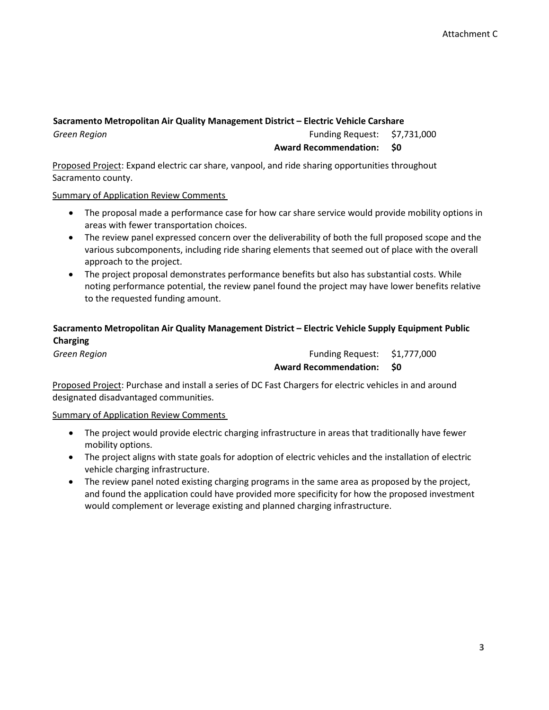#### **Sacramento Metropolitan Air Quality Management District – Electric Vehicle Carshare**

**Green Region Funding Request: \$7,731,000** 

#### **Award Recommendation: \$0**

Proposed Project: Expand electric car share, vanpool, and ride sharing opportunities throughout Sacramento county.

Summary of Application Review Comments

- The proposal made a performance case for how car share service would provide mobility options in areas with fewer transportation choices.
- The review panel expressed concern over the deliverability of both the full proposed scope and the various subcomponents, including ride sharing elements that seemed out of place with the overall approach to the project.
- The project proposal demonstrates performance benefits but also has substantial costs. While noting performance potential, the review panel found the project may have lower benefits relative to the requested funding amount.

## **Sacramento Metropolitan Air Quality Management District – Electric Vehicle Supply Equipment Public Charging**

**Green Region Funding Request: \$1,777,000 Award Recommendation: \$0**

Proposed Project: Purchase and install a series of DC Fast Chargers for electric vehicles in and around designated disadvantaged communities.

- The project would provide electric charging infrastructure in areas that traditionally have fewer mobility options.
- The project aligns with state goals for adoption of electric vehicles and the installation of electric vehicle charging infrastructure.
- The review panel noted existing charging programs in the same area as proposed by the project, and found the application could have provided more specificity for how the proposed investment would complement or leverage existing and planned charging infrastructure.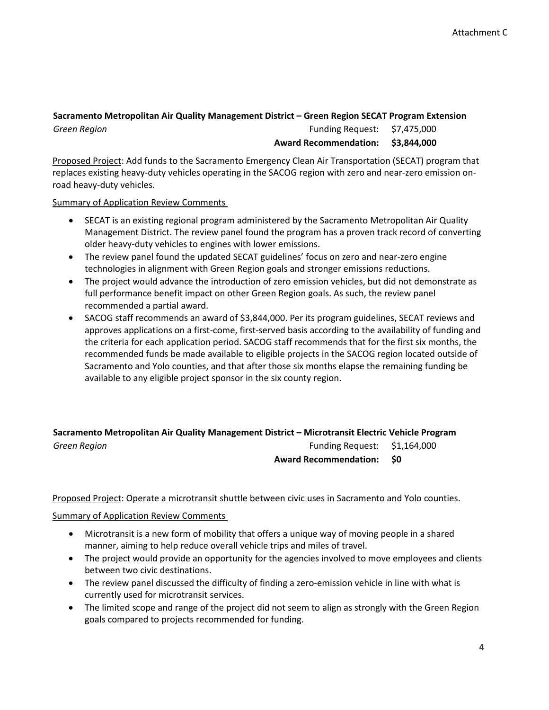# **Sacramento Metropolitan Air Quality Management District – Green Region SECAT Program Extension**

*Green Region* Funding Request: \$7,475,000 **Award Recommendation: \$3,844,000**

Proposed Project: Add funds to the Sacramento Emergency Clean Air Transportation (SECAT) program that replaces existing heavy-duty vehicles operating in the SACOG region with zero and near-zero emission onroad heavy-duty vehicles.

Summary of Application Review Comments

- SECAT is an existing regional program administered by the Sacramento Metropolitan Air Quality Management District. The review panel found the program has a proven track record of converting older heavy-duty vehicles to engines with lower emissions.
- The review panel found the updated SECAT guidelines' focus on zero and near-zero engine technologies in alignment with Green Region goals and stronger emissions reductions.
- The project would advance the introduction of zero emission vehicles, but did not demonstrate as full performance benefit impact on other Green Region goals. As such, the review panel recommended a partial award.
- SACOG staff recommends an award of \$3,844,000. Per its program guidelines, SECAT reviews and approves applications on a first-come, first-served basis according to the availability of funding and the criteria for each application period. SACOG staff recommends that for the first six months, the recommended funds be made available to eligible projects in the SACOG region located outside of Sacramento and Yolo counties, and that after those six months elapse the remaining funding be available to any eligible project sponsor in the six county region.

#### **Sacramento Metropolitan Air Quality Management District – Microtransit Electric Vehicle Program Green Region Funding Request: \$1,164,000 Award Recommendation: \$0**

Proposed Project: Operate a microtransit shuttle between civic uses in Sacramento and Yolo counties.

- Microtransit is a new form of mobility that offers a unique way of moving people in a shared manner, aiming to help reduce overall vehicle trips and miles of travel.
- The project would provide an opportunity for the agencies involved to move employees and clients between two civic destinations.
- The review panel discussed the difficulty of finding a zero-emission vehicle in line with what is currently used for microtransit services.
- The limited scope and range of the project did not seem to align as strongly with the Green Region goals compared to projects recommended for funding.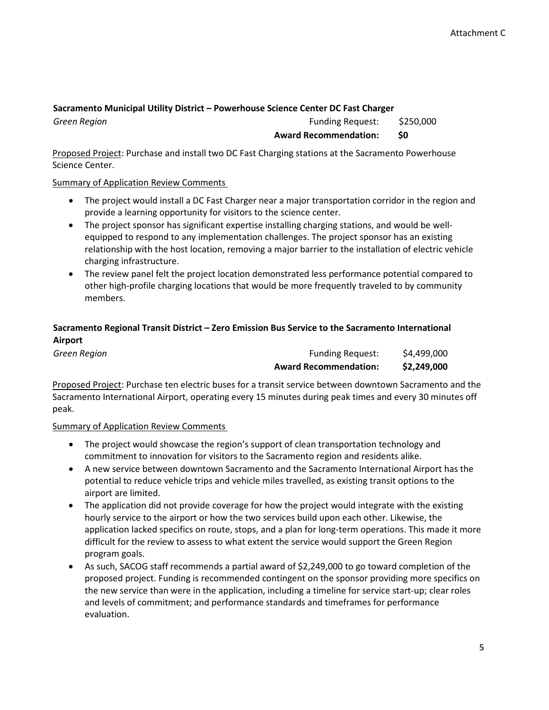#### **Sacramento Municipal Utility District – Powerhouse Science Center DC Fast Charger**

**Green Region Funding Request:** \$250,000 **Award Recommendation: \$0**

Proposed Project: Purchase and install two DC Fast Charging stations at the Sacramento Powerhouse Science Center.

#### Summary of Application Review Comments

- The project would install a DC Fast Charger near a major transportation corridor in the region and provide a learning opportunity for visitors to the science center.
- The project sponsor has significant expertise installing charging stations, and would be wellequipped to respond to any implementation challenges. The project sponsor has an existing relationship with the host location, removing a major barrier to the installation of electric vehicle charging infrastructure.
- The review panel felt the project location demonstrated less performance potential compared to other high-profile charging locations that would be more frequently traveled to by community members.

#### **Sacramento Regional Transit District – Zero Emission Bus Service to the Sacramento International Airport**

|              | <b>Award Recommendation:</b> | \$2,249,000 |
|--------------|------------------------------|-------------|
| Green Region | <b>Funding Request:</b>      |             |

Proposed Project: Purchase ten electric buses for a transit service between downtown Sacramento and the Sacramento International Airport, operating every 15 minutes during peak times and every 30 minutes off peak.

- The project would showcase the region's support of clean transportation technology and commitment to innovation for visitors to the Sacramento region and residents alike.
- A new service between downtown Sacramento and the Sacramento International Airport has the potential to reduce vehicle trips and vehicle miles travelled, as existing transit options to the airport are limited.
- The application did not provide coverage for how the project would integrate with the existing hourly service to the airport or how the two services build upon each other. Likewise, the application lacked specifics on route, stops, and a plan for long-term operations. This made it more difficult for the review to assess to what extent the service would support the Green Region program goals.
- As such, SACOG staff recommends a partial award of \$2,249,000 to go toward completion of the proposed project. Funding is recommended contingent on the sponsor providing more specifics on the new service than were in the application, including a timeline for service start-up; clear roles and levels of commitment; and performance standards and timeframes for performance evaluation.